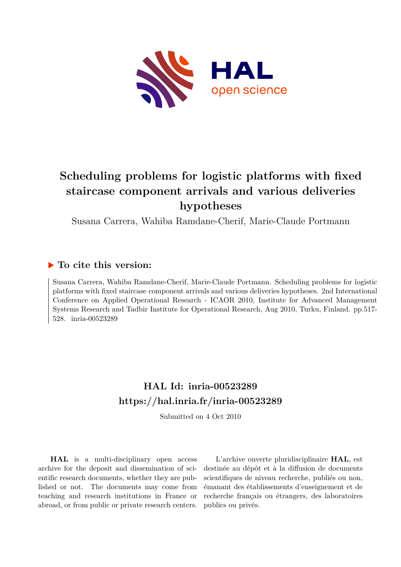

# **Scheduling problems for logistic platforms with fixed staircase component arrivals and various deliveries hypotheses**

Susana Carrera, Wahiba Ramdane-Cherif, Marie-Claude Portmann

# **To cite this version:**

Susana Carrera, Wahiba Ramdane-Cherif, Marie-Claude Portmann. Scheduling problems for logistic platforms with fixed staircase component arrivals and various deliveries hypotheses. 2nd International Conference on Applied Operational Research - ICAOR 2010, Institute for Advanced Management Systems Research and Tadbir Institute for Operational Research, Aug 2010, Turku, Finland. pp.517- 528. inria-00523289

# **HAL Id: inria-00523289 <https://hal.inria.fr/inria-00523289>**

Submitted on 4 Oct 2010

**HAL** is a multi-disciplinary open access archive for the deposit and dissemination of scientific research documents, whether they are published or not. The documents may come from teaching and research institutions in France or abroad, or from public or private research centers.

L'archive ouverte pluridisciplinaire **HAL**, est destinée au dépôt et à la diffusion de documents scientifiques de niveau recherche, publiés ou non, émanant des établissements d'enseignement et de recherche français ou étrangers, des laboratoires publics ou privés.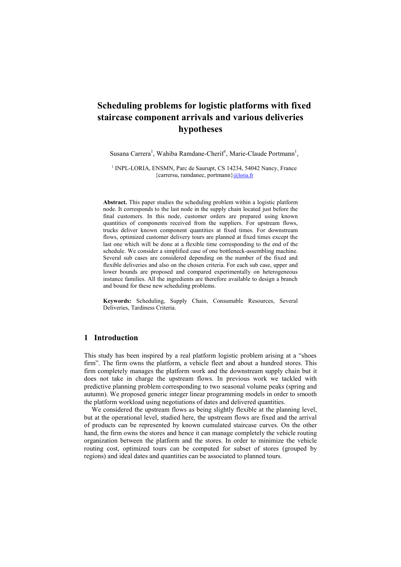# **Scheduling problems for logistic platforms with fixed staircase component arrivals and various deliveries hypotheses**

Susana Carrera<sup>1</sup>, Wahiba Ramdane-Cherif<sup>1</sup>, Marie-Claude Portmann<sup>1</sup>,

<sup>1</sup> INPL-LORIA, ENSMN, Parc de Saurupt, CS 14234, 54042 Nancy, France {carrersu, ramdanec, portmann}@loria.fr

**Abstract.** This paper studies the scheduling problem within a logistic platform node. It corresponds to the last node in the supply chain located just before the final customers. In this node, customer orders are prepared using known quantities of components received from the suppliers. For upstream flows, trucks deliver known component quantities at fixed times. For downstream flows, optimized customer delivery tours are planned at fixed times except the last one which will be done at a flexible time corresponding to the end of the schedule. We consider a simplified case of one bottleneck-assembling machine. Several sub cases are considered depending on the number of the fixed and flexible deliveries and also on the chosen criteria. For each sub case, upper and lower bounds are proposed and compared experimentally on heterogeneous instance families. All the ingredients are therefore available to design a branch and bound for these new scheduling problems.

**Keywords:** Scheduling, Supply Chain, Consumable Resources, Several Deliveries, Tardiness Criteria.

# **1 Introduction**

This study has been inspired by a real platform logistic problem arising at a "shoes" firm". The firm owns the platform, a vehicle fleet and about a hundred stores. This firm completely manages the platform work and the downstream supply chain but it does not take in charge the upstream flows. In previous work we tackled with predictive planning problem corresponding to two seasonal volume peaks (spring and autumn). We proposed generic integer linear programming models in order to smooth the platform workload using negotiations of dates and delivered quantities.

We considered the upstream flows as being slightly flexible at the planning level, but at the operational level, studied here, the upstream flows are fixed and the arrival of products can be represented by known cumulated staircase curves. On the other hand, the firm owns the stores and hence it can manage completely the vehicle routing organization between the platform and the stores. In order to minimize the vehicle routing cost, optimized tours can be computed for subset of stores (grouped by regions) and ideal dates and quantities can be associated to planned tours.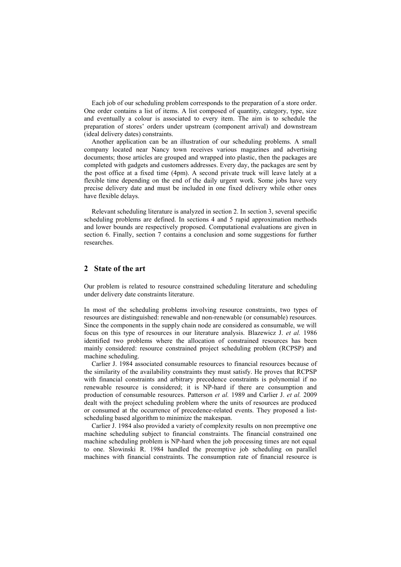Each job of our scheduling problem corresponds to the preparation of a store order. One order contains a list of items. A list composed of quantity, category, type, size and eventually a colour is associated to every item. The aim is to schedule the preparation of stores' orders under upstream (component arrival) and downstream (ideal delivery dates) constraints.

Another application can be an illustration of our scheduling problems. A small company located near Nancy town receives various magazines and advertising documents; those articles are grouped and wrapped into plastic, then the packages are completed with gadgets and customers addresses. Every day, the packages are sent by the post office at a fixed time (4pm). A second private truck will leave lately at a flexible time depending on the end of the daily urgent work. Some jobs have very precise delivery date and must be included in one fixed delivery while other ones have flexible delays.

Relevant scheduling literature is analyzed in section 2. In section 3, several specific scheduling problems are defined. In sections 4 and 5 rapid approximation methods and lower bounds are respectively proposed. Computational evaluations are given in section 6. Finally, section 7 contains a conclusion and some suggestions for further researches.

## **2 State of the art**

Our problem is related to resource constrained scheduling literature and scheduling under delivery date constraints literature.

In most of the scheduling problems involving resource constraints, two types of resources are distinguished: renewable and non-renewable (or consumable) resources. Since the components in the supply chain node are considered as consumable, we will focus on this type of resources in our literature analysis. Blazewicz J. *et al.* 1986 identified two problems where the allocation of constrained resources has been mainly considered: resource constrained project scheduling problem (RCPSP) and machine scheduling.

Carlier J. 1984 associated consumable resources to financial resources because of the similarity of the availability constraints they must satisfy. He proves that RCPSP with financial constraints and arbitrary precedence constraints is polynomial if no renewable resource is considered; it is NP-hard if there are consumption and production of consumable resources. Patterson *et al.* 1989 and Carlier J. *et al.* 2009 dealt with the project scheduling problem where the units of resources are produced or consumed at the occurrence of precedence-related events. They proposed a listscheduling based algorithm to minimize the makespan.

Carlier J. 1984 also provided a variety of complexity results on non preemptive one machine scheduling subject to financial constraints. The financial constrained one machine scheduling problem is NP-hard when the job processing times are not equal to one. Slowinski R. 1984 handled the preemptive job scheduling on parallel machines with financial constraints. The consumption rate of financial resource is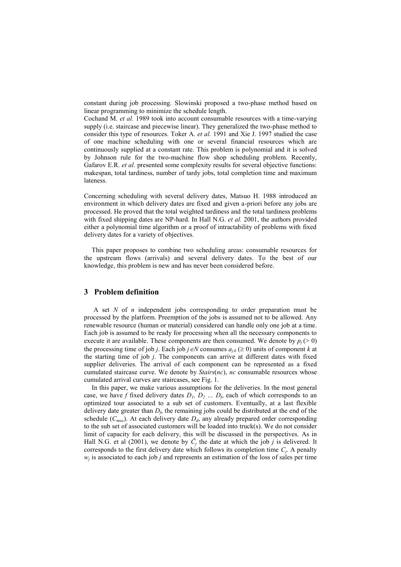constant during job processing. Slowinski proposed a two-phase method based on linear programming to minimize the schedule length.

Cochand M. *et al.* 1989 took into account consumable resources with a time-varying supply (i.e. staircase and piecewise linear). They generalized the two-phase method to consider this type of resources. Toker A. *et al.* 1991 and Xie J. 1997 studied the case of one machine scheduling with one or several financial resources which are continuously supplied at a constant rate. This problem is polynomial and it is solved by Johnson rule for the two-machine flow shop scheduling problem. Recently, Gafarov E.R. *et al.* presented some complexity results for several objective functions: makespan, total tardiness, number of tardy jobs, total completion time and maximum lateness.

Concerning scheduling with several delivery dates, Matsuo H. 1988 introduced an environment in which delivery dates are fixed and given a-priori before any jobs are processed. He proved that the total weighted tardiness and the total tardiness problems with fixed shipping dates are NP-hard. In Hall N.G. *et al.* 2001, the authors provided either a polynomial time algorithm or a proof of intractability of problems with fixed delivery dates for a variety of objectives.

This paper proposes to combine two scheduling areas: consumable resources for the upstream flows (arrivals) and several delivery dates. To the best of our knowledge, this problem is new and has never been considered before.

# **3 Problem definition**

A set *N* of *n* independent jobs corresponding to order preparation must be processed by the platform. Preemption of the jobs is assumed not to be allowed. Any renewable resource (human or material) considered can handle only one job at a time. Each job is assumed to be ready for processing when all the necessary components to execute it are available. These components are then consumed. We denote by  $p_j$  (> 0) the processing time of job *j*. Each job  $j \in N$  consumes  $a_{i,k} \geq 0$  units of component *k* at the starting time of job *j*. The components can arrive at different dates with fixed supplier deliveries. The arrival of each component can be represented as a fixed cumulated staircase curve. We denote by *Stairs*(*nc*), *nc* consumable resources whose cumulated arrival curves are staircases, see Fig. 1.

In this paper, we make various assumptions for the deliveries. In the most general case, we have *f* fixed delivery dates  $D_1$ ,  $D_2$   $\dots$   $D_f$ , each of which corresponds to an optimized tour associated to a sub set of customers. Eventually, at a last flexible delivery date greater than  $D_f$ , the remaining jobs could be distributed at the end of the schedule  $(C_{max})$ . At each delivery date  $D_d$ , any already prepared order corresponding to the sub set of associated customers will be loaded into truck(s). We do not consider limit of capacity for each delivery, this will be discussed in the perspectives. As in Hall N.G. et al (2001), we denote by  $\tilde{C}_j$  the date at which the job  $j$  is delivered. It corresponds to the first delivery date which follows its completion time  $C_j$ . A penalty  $w_j$  is associated to each job *j* and represents an estimation of the loss of sales per time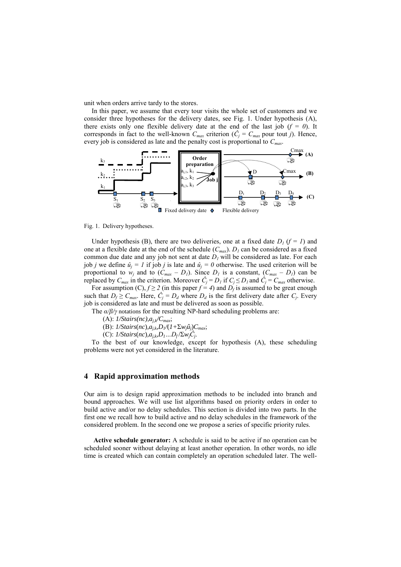unit when orders arrive tardy to the stores.

In this paper, we assume that every tour visits the whole set of customers and we consider three hypotheses for the delivery dates, see Fig. 1. Under hypothesis (A), there exists only one flexible delivery date at the end of the last job  $(f = 0)$ . It corresponds in fact to the well-known  $C_{max}$  criterion ( $\hat{C}_j = C_{max}$  pour tout *j*). Hence, every job is considered as late and the penalty cost is proportional to *Cmax*.



Fig. 1. Delivery hypotheses.

Under hypothesis (B), there are two deliveries, one at a fixed date  $D_1$  ( $f = 1$ ) and one at a flexible date at the end of the schedule  $(C_{max})$ .  $D_l$  can be considered as a fixed common due date and any job not sent at date  $D<sub>I</sub>$  will be considered as late. For each job *j* we define  $\hat{u}_j = I$  if job *j* is late and  $\hat{u}_j = 0$  otherwise. The used criterion will be proportional to  $w_j$  and to  $(C_{max} - D_l)$ . Since  $D_l$  is a constant,  $(C_{max} - D_l)$  can be replaced by  $C_{max}$  in the criterion. Moreover  $\hat{C}_j = D_l$  if  $C_j \leq D_l$  and  $\hat{C}_j = C_{max}$  otherwise.

For assumption  $(C)$ ,  $f \ge 2$  (in this paper  $f = 4$ ) and  $D_f$  is assumed to be great enough such that  $D_f \geq C_{max}$ . Here,  $C_j = D_d$  where  $D_d$  is the first delivery date after  $C_j$ . Every job is considered as late and must be delivered as soon as possible.

The *α/β/γ* notations for the resulting NP-hard scheduling problems are:

(A):  $1/\text{Stairs}(nc), a_{i,k}/C_{max}$ ;

(B): *1/Stairs*(*nc*)*,aj,k,D1/*(*1+*Σ*wjûj*)*Cmax*;

 $(C)$ : *1/Stairs*( $nc$ ), $a_{j,k}D_1...D_f$  $\sum w_jC_j$ .

To the best of our knowledge, except for hypothesis (A), these scheduling problems were not yet considered in the literature.

## **4 Rapid approximation methods**

Our aim is to design rapid approximation methods to be included into branch and bound approaches. We will use list algorithms based on priority orders in order to build active and/or no delay schedules. This section is divided into two parts. In the first one we recall how to build active and no delay schedules in the framework of the considered problem. In the second one we propose a series of specific priority rules.

**Active schedule generator:** A schedule is said to be active if no operation can be scheduled sooner without delaying at least another operation. In other words, no idle time is created which can contain completely an operation scheduled later. The well-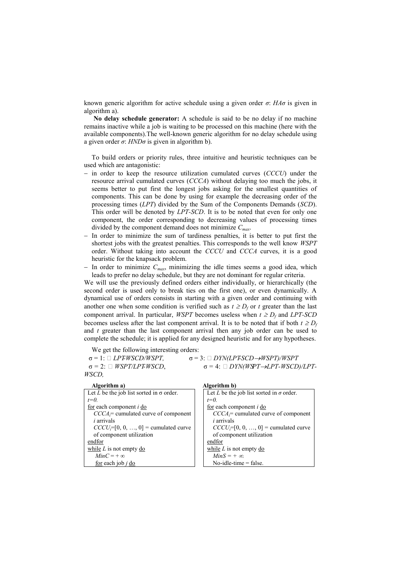known generic algorithm for active schedule using a given order *σ*: *HAσ* is given in algorithm a).

**No delay schedule generator:** A schedule is said to be no delay if no machine remains inactive while a job is waiting to be processed on this machine (here with the available components).The well-known generic algorithm for no delay schedule using a given order  $\sigma$ : *HND* $\sigma$  is given in algorithm b).

To build orders or priority rules, three intuitive and heuristic techniques can be used which are antagonistic:

- in order to keep the resource utilization cumulated curves (*CCCU*) under the resource arrival cumulated curves (*CCCA*) without delaying too much the jobs, it seems better to put first the longest jobs asking for the smallest quantities of components. This can be done by using for example the decreasing order of the processing times (*LPT*) divided by the Sum of the Components Demands (*SCD*). This order will be denoted by *LPT-SCD*. It is to be noted that even for only one component, the order corresponding to decreasing values of processing times divided by the component demand does not minimize *Cmax*.
- In order to minimize the sum of tardiness penalties, it is better to put first the shortest jobs with the greatest penalties. This corresponds to the well know *WSPT* order. Without taking into account the *CCCU* and *CCCA* curves, it is a good heuristic for the knapsack problem.
- In order to minimize  $C_{max}$ , minimizing the idle times seems a good idea, which leads to prefer no delay schedule, but they are not dominant for regular criteria.

We will use the previously defined orders either individually, or hierarchically (the second order is used only to break ties on the first one), or even dynamically. A dynamical use of orders consists in starting with a given order and continuing with another one when some condition is verified such as  $t \geq D_f$  or *t* greater than the last component arrival. In particular, *WSPT* becomes useless when  $t \geq D_f$  and *LPT-SCD* becomes useless after the last component arrival. It is to be noted that if both  $t \ge D_f$ and *t* greater than the last component arrival then any job order can be used to complete the schedule; it is applied for any designed heuristic and for any hypotheses.

We get the following interesting orders:

 $\sigma = 1$ :  $\Box$  *LPTWSCD/WSPT*,  $\sigma = 3$ :  $\Box$  *DYN(LPTSCD*  $\rightarrow$ *WSPT)/WSPT* 

 $\sigma = 2$ :  $\Box$  *WSPT/LPTWSCD*,  $\sigma = 4$ :  $\Box$  *DYN(WSPT->LPT-WSCD)/LPT*-

|--|

*t=0.*

en

| Algorithm a)                                    | Algorithm b)                                           |
|-------------------------------------------------|--------------------------------------------------------|
| Let L be the job list sorted in $\sigma$ order. | Let L be the job list sorted in $\sigma$ order.        |
| $t=0$ .                                         | $t=0$ .                                                |
| for each component <i>i</i> do                  | $\frac{for}{i}$ each component <i>i</i> $\frac{do}{i}$ |
| $CCCA =$ cumulated curve of component           | $CCCA =$ cumulated curve of component                  |
| <i>i</i> arrivals                               | <i>i</i> arrivals                                      |
| $CCCU_i = [0, 0, , 0] =$ cumulated curve        | $CCCU_i= [0, 0, , 0] =$ cumulated curve                |
| of component utilization                        | of component utilization                               |
| endfor                                          | endfor                                                 |
| while $L$ is not empty do                       | while $L$ is not empty do                              |
| $MinC = +\infty$                                | $MinS = +\infty$                                       |
| for each job $i$ do                             | No-idle-time $=$ false.                                |
|                                                 |                                                        |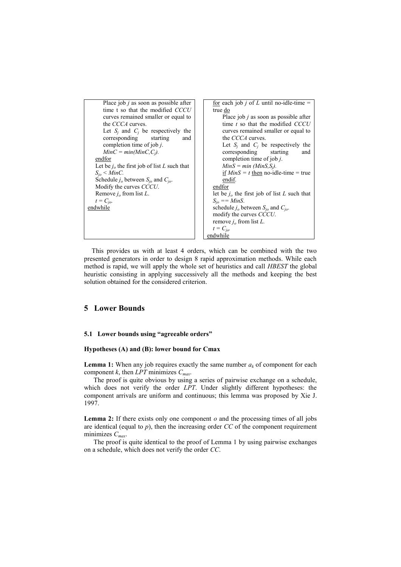

This provides us with at least 4 orders, which can be combined with the two presented generators in order to design 8 rapid approximation methods. While each method is rapid, we will apply the whole set of heuristics and call *HBEST* the global heuristic consisting in applying successively all the methods and keeping the best solution obtained for the considered criterion.

# **5 Lower Bounds**

#### **5.1 Lower bounds using "agreeable orders"**

#### **Hypotheses (A) and (B): lower bound for Cmax**

**Lemma 1:** When any job requires exactly the same number  $a_k$  of component for each component *k*, then *LPT* minimizes *Cmax*.

The proof is quite obvious by using a series of pairwise exchange on a schedule, which does not verify the order *LPT*. Under slightly different hypotheses: the component arrivals are uniform and continuous; this lemma was proposed by Xie J. 1997.

**Lemma 2:** If there exists only one component *o* and the processing times of all jobs are identical (equal to  $p$ ), then the increasing order *CC* of the component requirement minimizes *Cmax*.

The proof is quite identical to the proof of Lemma 1 by using pairwise exchanges on a schedule, which does not verify the order *CC*.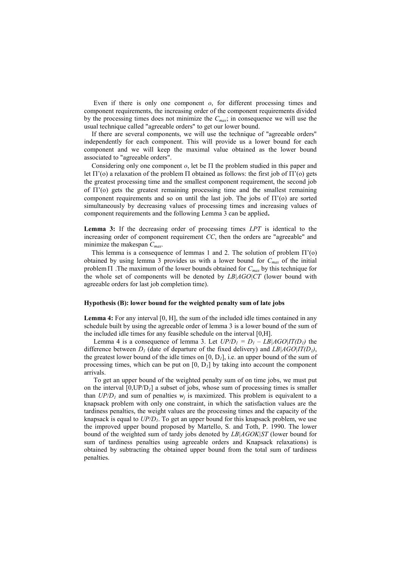Even if there is only one component *o*, for different processing times and component requirements, the increasing order of the component requirements divided by the processing times does not minimize the *Cmax*; in consequence we will use the usual technique called "agreeable orders" to get our lower bound.

If there are several components, we will use the technique of "agreeable orders" independently for each component. This will provide us a lower bound for each component and we will keep the maximal value obtained as the lower bound associated to "agreeable orders".

Considering only one component  $o$ , let be  $\Pi$  the problem studied in this paper and let  $\Pi'(o)$  a relaxation of the problem  $\Pi$  obtained as follows: the first job of  $\Pi'(o)$  gets the greatest processing time and the smallest component requirement, the second job of  $\Pi'(o)$  gets the greatest remaining processing time and the smallest remaining component requirements and so on until the last job. The jobs of  $\Pi'(o)$  are sorted simultaneously by decreasing values of processing times and increasing values of component requirements and the following Lemma 3 can be applied**.**

**Lemma 3:** If the decreasing order of processing times *LPT* is identical to the increasing order of component requirement *CC*, then the orders are "agreeable" and minimize the makespan *Cmax*.

This lemma is a consequence of lemmas 1 and 2. The solution of problem  $\Pi'(0)$ obtained by using lemma 3 provides us with a lower bound for *Cmax* of the initial problem .The maximum of the lower bounds obtained for *Cmax* by this technique for the whole set of components will be denoted by *LB|AGO|CT* (lower bound with agreeable orders for last job completion time).

#### **Hypothesis (B): lower bound for the weighted penalty sum of late jobs**

**Lemma 4:** For any interval [0, H], the sum of the included idle times contained in any schedule built by using the agreeable order of lemma 3 is a lower bound of the sum of the included idle times for any feasible schedule on the interval [0,H].

Lemma 4 is a consequence of lemma 3. Let  $UP/D_1 = D_1 - LB|AGO|IT(D_1)$  the difference between  $D_I$  (date of departure of the fixed delivery) and  $LB|AGO|IT(D_I)$ , the greatest lower bound of the idle times on  $[0, D<sub>l</sub>]$ , i.e. an upper bound of the sum of processing times, which can be put on  $[0, D<sub>1</sub>]$  by taking into account the component arrivals.

To get an upper bound of the weighted penalty sum of on time jobs, we must put on the interval  $[0,UP/D<sub>1</sub>]$  a subset of jobs, whose sum of processing times is smaller than  $UP/D<sub>l</sub>$  and sum of penalties  $w<sub>j</sub>$  is maximized. This problem is equivalent to a knapsack problem with only one constraint, in which the satisfaction values are the tardiness penalties, the weight values are the processing times and the capacity of the knapsack is equal to *UP/D1*. To get an upper bound for this knapsack problem, we use the improved upper bound proposed by Martello, S. and Toth, P. 1990. The lower bound of the weighted sum of tardy jobs denoted by *LB|AGOK|ST* (lower bound for sum of tardiness penalties using agreeable orders and Knapsack relaxations) is obtained by subtracting the obtained upper bound from the total sum of tardiness penalties.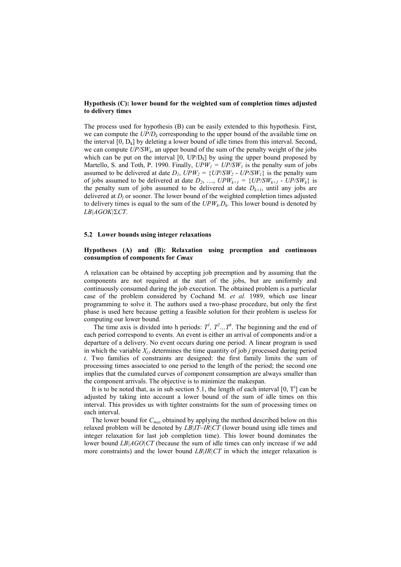#### **Hypothesis (C): lower bound for the weighted sum of completion times adjusted to delivery times**

The process used for hypothesis (B) can be easily extended to this hypothesis. First, we can compute the  $UP/D<sub>k</sub>$  corresponding to the upper bound of the available time on the interval  $[0, D_k]$  by deleting a lower bound of idle times from this interval. Second, we can compute *UP/SW<sup>k</sup>* , an upper bound of the sum of the penalty weight of the jobs which can be put on the interval  $[0, UP/D<sub>k</sub>]$  by using the upper bound proposed by Martello, S. and Toth, P. 1990. Finally,  $UPW_I = UP/SW_I$  is the penalty sum of jobs assumed to be delivered at date  $D_1$ ,  $UPW_2 = \{UP/SW_2 - UP/SW_1\}$  is the penalty sum of jobs assumed to be delivered at date  $D_2$ , ...,  $UPW_{k+1} = \{UP/SW_{k+1} - UP/SW_k\}$  is the penalty sum of jobs assumed to be delivered at date  $D_{k+1}$ , until any jobs are delivered at  $D_f$  or sooner. The lower bound of the weighted completion times adjusted to delivery times is equal to the sum of the  $UPW_kD_k$ . This lower bound is denoted by *LB|AGOK|CT*.

#### **5.2 Lower bounds using integer relaxations**

#### **Hypotheses (A) and (B): Relaxation using preemption and continuous consumption of components for** *Cmax*

A relaxation can be obtained by accepting job preemption and by assuming that the components are not required at the start of the jobs, but are uniformly and continuously consumed during the job execution. The obtained problem is a particular case of the problem considered by Cochand M. *et al.* 1989, which use linear programming to solve it. The authors used a two-phase procedure, but only the first phase is used here because getting a feasible solution for their problem is useless for computing our lower bound.

The time axis is divided into h periods:  $T^l$ ,  $T^2$ ...,  $T^h$ . The beginning and the end of each period correspond to events. An event is either an arrival of components and/or a departure of a delivery. No event occurs during one period. A linear program is used in which the variable *Xj,t* determines the time quantity of job *j* processed during period *t*. Two families of constraints are designed: the first family limits the sum of processing times associated to one period to the length of the period; the second one implies that the cumulated curves of component consumption are always smaller than the component arrivals. The objective is to minimize the makespan.

It is to be noted that, as in sub section 5.1, the length of each interval  $[0, T<sup>t</sup>]$  can be adjusted by taking into account a lower bound of the sum of idle times on this interval. This provides us with tighter constraints for the sum of processing times on each interval.

The lower bound for *Cmax* obtained by applying the method described below on this relaxed problem will be denoted by *LB|IT~IR|CT* (lower bound using idle times and integer relaxation for last job completion time). This lower bound dominates the lower bound *LB|AGO|CT* (because the sum of idle times can only increase if we add more constraints) and the lower bound *LB|IR|CT* in which the integer relaxation is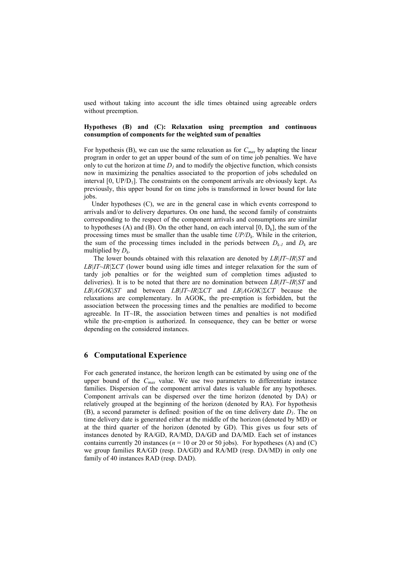used without taking into account the idle times obtained using agreeable orders without preemption.

#### **Hypotheses (B) and (C): Relaxation using preemption and continuous consumption of components for the weighted sum of penalties**

For hypothesis (B), we can use the same relaxation as for  $C_{max}$  by adapting the linear program in order to get an upper bound of the sum of on time job penalties. We have only to cut the horizon at time  $D<sub>I</sub>$  and to modify the objective function, which consists now in maximizing the penalties associated to the proportion of jobs scheduled on interval  $[0, UP/D<sub>1</sub>]$ . The constraints on the component arrivals are obviously kept. As previously, this upper bound for on time jobs is transformed in lower bound for late jobs.

Under hypotheses (C), we are in the general case in which events correspond to arrivals and/or to delivery departures. On one hand, the second family of constraints corresponding to the respect of the component arrivals and consumptions are similar to hypotheses (A) and (B). On the other hand, on each interval  $[0, D_k]$ , the sum of the processing times must be smaller than the usable time *UP/D<sup>k</sup>* . While in the criterion, the sum of the processing times included in the periods between  $D_{k-1}$  and  $D_k$  are multiplied by *D<sup>k</sup>* .

The lower bounds obtained with this relaxation are denoted by *LB|IT~IR|ST* and *LB|IT~IR|CT* (lower bound using idle times and integer relaxation for the sum of tardy job penalties or for the weighted sum of completion times adjusted to deliveries). It is to be noted that there are no domination between *LB|IT~IR|ST* and *LB|AGOK|ST* and between *LB|IT~IR|CT* and *LB|AGOK|CT* because the relaxations are complementary. In AGOK, the pre-emption is forbidden, but the association between the processing times and the penalties are modified to become agreeable. In IT~IR, the association between times and penalties is not modified while the pre-emption is authorized. In consequence, they can be better or worse depending on the considered instances.

### **6 Computational Experience**

For each generated instance, the horizon length can be estimated by using one of the upper bound of the *Cmax* value. We use two parameters to differentiate instance families. Dispersion of the component arrival dates is valuable for any hypotheses. Component arrivals can be dispersed over the time horizon (denoted by DA) or relatively grouped at the beginning of the horizon (denoted by RA). For hypothesis (B), a second parameter is defined: position of the on time delivery date  $D<sub>l</sub>$ . The on time delivery date is generated either at the middle of the horizon (denoted by MD) or at the third quarter of the horizon (denoted by GD). This gives us four sets of instances denoted by RA/GD, RA/MD, DA/GD and DA/MD. Each set of instances contains currently 20 instances ( $n = 10$  or 20 or 50 jobs). For hypotheses (A) and (C) we group families RA/GD (resp. DA/GD) and RA/MD (resp. DA/MD) in only one family of 40 instances RAD (resp. DAD).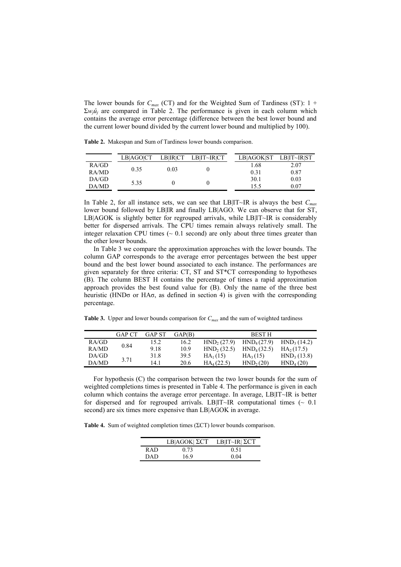The lower bounds for *Cmax* (CT) and for the Weighted Sum of Tardiness (ST): 1 +  $\Sigma w_i \hat{u}_i$  are compared in Table 2. The performance is given in each column which contains the average error percentage (difference between the best lower bound and the current lower bound divided by the current lower bound and multiplied by 100).

**Table 2.** Makespan and Sum of Tardiness lower bounds comparison.

|       | LBIAGOICT | <b>LBIRICT</b> | LB IT~IR CT | LBIAGOKIST | LB IT~IR ST |
|-------|-----------|----------------|-------------|------------|-------------|
| RA/GD |           |                |             | 1.68       | 2.07        |
| RA/MD | 0.35      | 0.03           |             | 0.31       | 0.87        |
| DA/GD | 5.35      |                |             | 30.1       | 0.03        |
| DA/MD |           |                |             | 15.5       | 0.07        |

In Table 2, for all instance sets, we can see that LB|IT~IR is always the best *Cmax* lower bound followed by LB|IR and finally LB|AGO. We can observe that for ST, LB|AGOK is slightly better for regrouped arrivals, while LB|IT~IR is considerably better for dispersed arrivals. The CPU times remain always relatively small. The integer relaxation CPU times  $(\sim 0.1 \text{ second})$  are only about three times greater than the other lower bounds.

In Table 3 we compare the approximation approaches with the lower bounds. The column GAP corresponds to the average error percentages between the best upper bound and the best lower bound associated to each instance. The performances are given separately for three criteria: CT, ST and ST\*CT corresponding to hypotheses (B). The column BEST H contains the percentage of times a rapid approximation approach provides the best found value for (B). Only the name of the three best heuristic (HND $\sigma$  or HA $\sigma$ , as defined in section 4) is given with the corresponding percentage.

**Table 3.** Upper and lower bounds comparison for *Cmax* and the sum of weighted tardiness

|       | GAP CT | GAP ST | GAP(B) |                         | <b>BEST H</b>           |                         |
|-------|--------|--------|--------|-------------------------|-------------------------|-------------------------|
| RA/GD |        | 15.2   | 16.2   | HND <sub>2</sub> (27.9) | HND <sub>4</sub> (27.9) | HND <sub>3</sub> (14.2) |
| RA/MD | 0.84   | 9.18   | 10.9   | HND <sub>2</sub> (32.5) | HND <sub>4</sub> (32.5) | HA <sub>2</sub> (17.5)  |
| DA/GD |        | 31.8   | 39.5   | $HA_1(15)$              | $HA_3(15)$              | HND <sub>3</sub> (13.8) |
| DA/MD | 3.71   | 14.1   | 20.6   | $HA_4(22.5)$            | HND <sub>2</sub> (20)   | HND <sub>4</sub> (20)   |
|       |        |        |        |                         |                         |                         |

For hypothesis (C) the comparison between the two lower bounds for the sum of weighted completions times is presented in Table 4. The performance is given in each column which contains the average error percentage. In average, LB|IT~IR is better for dispersed and for regrouped arrivals. LB|IT~IR computational times ( $\sim 0.1$ ) second) are six times more expensive than LB|AGOK in average.

**Table 4.** Sum of weighted completion times (ΣCT) lower bounds comparison.

|            | LB AGOK  $\Sigma$ CT | LB IT~IR  $\Sigma$ CT |
|------------|----------------------|-----------------------|
| R A D      | 0.73                 | 0.51                  |
| <b>DAD</b> | 169                  | 0.04                  |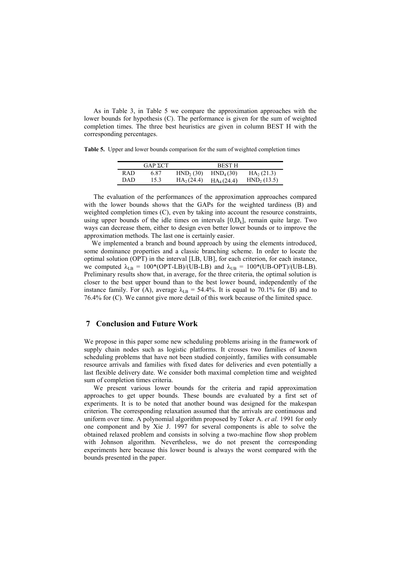As in Table 3, in Table 5 we compare the approximation approaches with the lower bounds for hypothesis (C). The performance is given for the sum of weighted completion times. The three best heuristics are given in column BEST H with the corresponding percentages.

**Table 5.** Upper and lower bounds comparison for the sum of weighted completion times

|       | $GAP$ $\Sigma$ CT |                       | <b>BEST H</b>         |                            |
|-------|-------------------|-----------------------|-----------------------|----------------------------|
| R AD. | 6.87              | HND <sub>2</sub> (30) | HND <sub>4</sub> (30) | $HA$ <sub>2</sub> $(21.3)$ |
| DAD   | 15.3              | $HA_2(24.4)$          | $HA_4(24.4)$          | HND <sub>2</sub> (13.5)    |

The evaluation of the performances of the approximation approaches compared with the lower bounds shows that the GAPs for the weighted tardiness (B) and weighted completion times (C), even by taking into account the resource constraints, using upper bounds of the idle times on intervals  $[0, D_k]$ , remain quite large. Two ways can decrease them, either to design even better lower bounds or to improve the approximation methods. The last one is certainly easier.

We implemented a branch and bound approach by using the elements introduced, some dominance properties and a classic branching scheme. In order to locate the optimal solution (OPT) in the interval [LB, UB], for each criterion, for each instance, we computed  $\lambda_{LB} = 100*(OPT-LB)/(UB-LB)$  and  $\lambda_{UB} = 100*(UB-OPT)/(UB-LB)$ . Preliminary results show that, in average, for the three criteria, the optimal solution is closer to the best upper bound than to the best lower bound, independently of the instance family. For (A), average  $\lambda_{LB} = 54.4\%$ . It is equal to 70.1% for (B) and to 76.4% for (C). We cannot give more detail of this work because of the limited space.

# **7 Conclusion and Future Work**

We propose in this paper some new scheduling problems arising in the framework of supply chain nodes such as logistic platforms. It crosses two families of known scheduling problems that have not been studied conjointly, families with consumable resource arrivals and families with fixed dates for deliveries and even potentially a last flexible delivery date. We consider both maximal completion time and weighted sum of completion times criteria.

We present various lower bounds for the criteria and rapid approximation approaches to get upper bounds. These bounds are evaluated by a first set of experiments. It is to be noted that another bound was designed for the makespan criterion. The corresponding relaxation assumed that the arrivals are continuous and uniform over time. A polynomial algorithm proposed by Toker A. *et al.* 1991 for only one component and by Xie J. 1997 for several components is able to solve the obtained relaxed problem and consists in solving a two-machine flow shop problem with Johnson algorithm. Nevertheless, we do not present the corresponding experiments here because this lower bound is always the worst compared with the bounds presented in the paper.